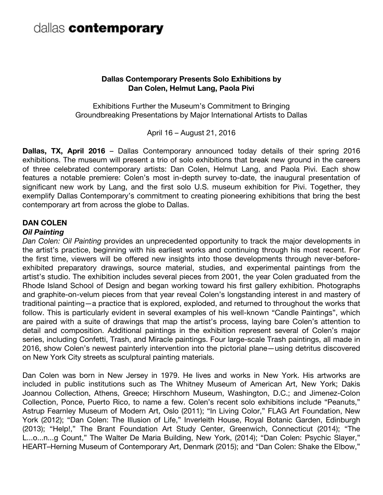#### **Dallas Contemporary Presents Solo Exhibitions by Dan Colen, Helmut Lang, Paola Pivi**

Exhibitions Further the Museum's Commitment to Bringing Groundbreaking Presentations by Major International Artists to Dallas

April 16 – August 21, 2016

**Dallas, TX, April 2016** – Dallas Contemporary announced today details of their spring 2016 exhibitions. The museum will present a trio of solo exhibitions that break new ground in the careers of three celebrated contemporary artists: Dan Colen, Helmut Lang, and Paola Pivi. Each show features a notable premiere: Colen's most in-depth survey to-date, the inaugural presentation of significant new work by Lang, and the first solo U.S. museum exhibition for Pivi. Together, they exemplify Dallas Contemporary's commitment to creating pioneering exhibitions that bring the best contemporary art from across the globe to Dallas.

#### **DAN COLEN**

#### *Oil Painting*

*Dan Colen: Oil Painting* provides an unprecedented opportunity to track the major developments in the artist's practice, beginning with his earliest works and continuing through his most recent. For the first time, viewers will be offered new insights into those developments through never-beforeexhibited preparatory drawings, source material, studies, and experimental paintings from the artist's studio. The exhibition includes several pieces from 2001, the year Colen graduated from the Rhode Island School of Design and began working toward his first gallery exhibition. Photographs and graphite-on-velum pieces from that year reveal Colen's longstanding interest in and mastery of traditional painting—a practice that is explored, exploded, and returned to throughout the works that follow. This is particularly evident in several examples of his well-known "Candle Paintings", which are paired with a suite of drawings that map the artist's process, laying bare Colen's attention to detail and composition. Additional paintings in the exhibition represent several of Colen's major series, including Confetti, Trash, and Miracle paintings. Four large-scale Trash paintings, all made in 2016, show Colen's newest painterly intervention into the pictorial plane—using detritus discovered on New York City streets as sculptural painting materials.

Dan Colen was born in New Jersey in 1979. He lives and works in New York. His artworks are included in public institutions such as The Whitney Museum of American Art, New York; Dakis Joannou Collection, Athens, Greece; Hirschhorn Museum, Washington, D.C.; and Jimenez-Colon Collection, Ponce, Puerto Rico, to name a few. Colen's recent solo exhibitions include "Peanuts," Astrup Fearnley Museum of Modern Art, Oslo (2011); "In Living Color," FLAG Art Foundation, New York (2012); "Dan Colen: The Illusion of Life," Inverleith House, Royal Botanic Garden, Edinburgh (2013); "Help!," The Brant Foundation Art Study Center, Greenwich, Connecticut (2014); "The L...o...n...g Count," The Walter De Maria Building, New York, (2014); "Dan Colen: Psychic Slayer," HEART–Herning Museum of Contemporary Art, Denmark (2015); and "Dan Colen: Shake the Elbow,"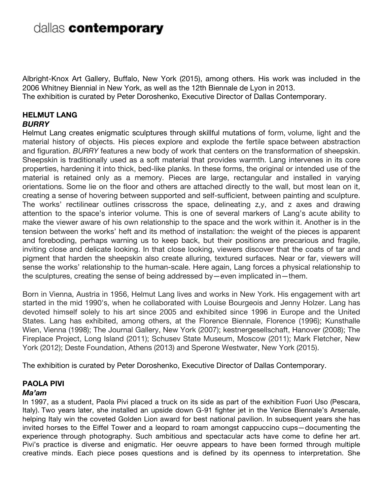Albright-Knox Art Gallery, Buffalo, New York (2015), among others. His work was included in the 2006 Whitney Biennial in New York, as well as the 12th Biennale de Lyon in 2013. The exhibition is curated by Peter Doroshenko, Executive Director of Dallas Contemporary.

#### **HELMUT LANG** *BURRY*

Helmut Lang creates enigmatic sculptures through skillful mutations of form, volume, light and the material history of objects. His pieces explore and explode the fertile space between abstraction and figuration. *BURRY* features a new body of work that centers on the transformation of sheepskin. Sheepskin is traditionally used as a soft material that provides warmth. Lang intervenes in its core properties, hardening it into thick, bed-like planks. In these forms, the original or intended use of the material is retained only as a memory. Pieces are large, rectangular and installed in varying orientations. Some lie on the floor and others are attached directly to the wall, but most lean on it, creating a sense of hovering between supported and self-sufficient, between painting and sculpture. The works' rectilinear outlines crisscross the space, delineating z,y, and z axes and drawing attention to the space's interior volume. This is one of several markers of Lang's acute ability to make the viewer aware of his own relationship to the space and the work within it. Another is in the tension between the works' heft and its method of installation: the weight of the pieces is apparent and foreboding, perhaps warning us to keep back, but their positions are precarious and fragile, inviting close and delicate looking. In that close looking, viewers discover that the coats of tar and pigment that harden the sheepskin also create alluring, textured surfaces. Near or far, viewers will sense the works' relationship to the human-scale. Here again, Lang forces a physical relationship to the sculptures, creating the sense of being addressed by—even implicated in—them.

Born in Vienna, Austria in 1956, Helmut Lang lives and works in New York. His engagement with art started in the mid 1990's, when he collaborated with Louise Bourgeois and Jenny Holzer. Lang has devoted himself solely to his art since 2005 and exhibited since 1996 in Europe and the United States. Lang has exhibited, among others, at the Florence Biennale, Florence (1996); Kunsthalle Wien, Vienna (1998); The Journal Gallery, New York (2007); kestnergesellschaft, Hanover (2008); The Fireplace Project, Long Island (2011); Schusev State Museum, Moscow (2011); Mark Fletcher, New York (2012); Deste Foundation, Athens (2013) and Sperone Westwater, New York (2015).

The exhibition is curated by Peter Doroshenko, Executive Director of Dallas Contemporary.

#### **PAOLA PIVI**

#### *Ma'am*

In 1997, as a student, Paola Pivi placed a truck on its side as part of the exhibition Fuori Uso (Pescara, Italy). Two years later, she installed an upside down G-91 fighter jet in the Venice Biennale's Arsenale, helping Italy win the coveted Golden Lion award for best national pavilion. In subsequent years she has invited horses to the Eiffel Tower and a leopard to roam amongst cappuccino cups—documenting the experience through photography. Such ambitious and spectacular acts have come to define her art. Pivi's practice is diverse and enigmatic. Her oeuvre appears to have been formed through multiple creative minds. Each piece poses questions and is defined by its openness to interpretation. She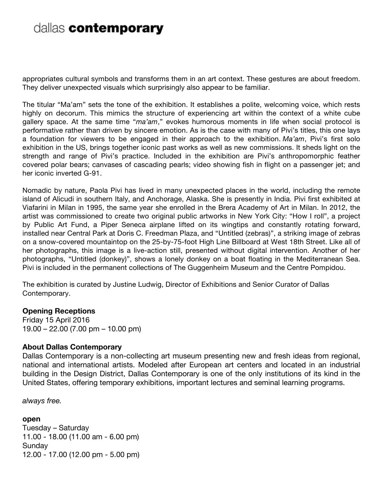appropriates cultural symbols and transforms them in an art context. These gestures are about freedom. They deliver unexpected visuals which surprisingly also appear to be familiar.

The titular "Ma'am" sets the tone of the exhibition. It establishes a polite, welcoming voice, which rests highly on decorum. This mimics the structure of experiencing art within the context of a white cube gallery space. At the same time "*ma'am*," evokes humorous moments in life when social protocol is performative rather than driven by sincere emotion. As is the case with many of Pivi's titles, this one lays a foundation for viewers to be engaged in their approach to the exhibition. *Ma'am*, Pivi's first solo exhibition in the US, brings together iconic past works as well as new commissions. It sheds light on the strength and range of Pivi's practice. Included in the exhibition are Pivi's anthropomorphic feather covered polar bears; canvases of cascading pearls; video showing fish in flight on a passenger jet; and her iconic inverted G-91.

Nomadic by nature, Paola Pivi has lived in many unexpected places in the world, including the remote island of Alicudi in southern Italy, and Anchorage, Alaska. She is presently in India. Pivi first exhibited at Viafarini in Milan in 1995, the same year she enrolled in the Brera Academy of Art in Milan. In 2012, the artist was commissioned to create two original public artworks in New York City: "How I roll", a project by Public Art Fund, a Piper Seneca airplane lifted on its wingtips and constantly rotating forward, installed near Central Park at Doris C. Freedman Plaza, and "Untitled (zebras)", a striking image of zebras on a snow-covered mountaintop on the 25-by-75-foot High Line Billboard at West 18th Street. Like all of her photographs, this image is a live-action still, presented without digital intervention. Another of her photographs, "Untitled (donkey)", shows a lonely donkey on a boat floating in the Mediterranean Sea. Pivi is included in the permanent collections of The Guggenheim Museum and the Centre Pompidou.

The exhibition is curated by Justine Ludwig, Director of Exhibitions and Senior Curator of Dallas Contemporary.

#### **Opening Receptions**

Friday 15 April 2016 19.00 – 22.00 (7.00 pm – 10.00 pm)

#### **About Dallas Contemporary**

Dallas Contemporary is a non-collecting art museum presenting new and fresh ideas from regional, national and international artists. Modeled after European art centers and located in an industrial building in the Design District, Dallas Contemporary is one of the only institutions of its kind in the United States, offering temporary exhibitions, important lectures and seminal learning programs.

*always free.* 

**open**  Tuesday – Saturday 11.00 - 18.00 (11.00 am - 6.00 pm) **Sunday** 12.00 - 17.00 (12.00 pm - 5.00 pm)